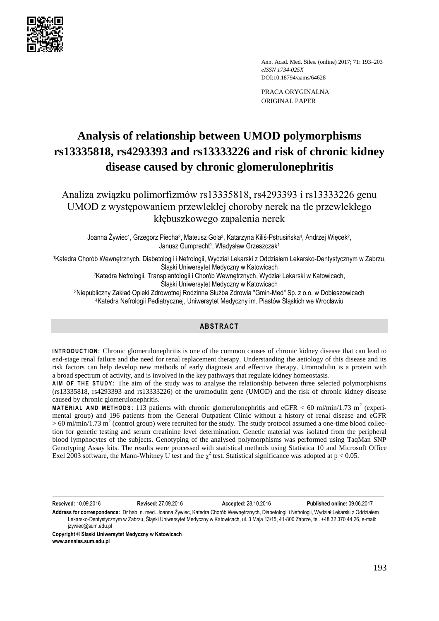

Ann. Acad. Med. Siles. (online) 2017; 71: 193–203 *eISSN 1734-025X*  DOI:10.18794/aams/64628

PRACA ORYGINALNA ORIGINAL PAPER

# **Analysis of relationship between UMOD polymorphisms rs13335818, rs4293393 and rs13333226 and risk of chronic kidney disease caused by chronic glomerulonephritis**

Analiza związku polimorfizmów rs13335818, rs4293393 i rs13333226 genu UMOD z występowaniem przewlekłej choroby nerek na tle przewlekłego kłębuszkowego zapalenia nerek

Joanna Żywiec<sup>1</sup>, Grzegorz Piecha<sup>2</sup>, Mateusz Gola<sup>3</sup>, Katarzyna Kiliś-Pstrusińska<sup>4</sup>, Andrzej Więcek<sup>2</sup>, Janusz Gumprecht<sup>1</sup>, Władysław Grzeszczak<sup>1</sup>

<sup>1</sup>Katedra Chorób Wewnętrznych, Diabetologii i Nefrologii, Wydział Lekarski z Oddziałem Lekarsko-Dentystycznym w Zabrzu, Śląski Uniwersytet Medyczny w Katowicach

<sup>2</sup>Katedra Nefrologii, Transplantologii i Chorób Wewnętrznych, Wydział Lekarski w Katowicach,

Śląski Uniwersytet Medyczny w Katowicach

<sup>3</sup>Niepubliczny Zakład Opieki Zdrowotnej Rodzinna Służba Zdrowia "Gmin-Med" Sp. z o.o. w Dobieszowicach <sup>4</sup>Katedra Nefrologii Pediatrycznej, Uniwersytet Medyczny im. Piastów Śląskich we Wrocławiu

## **ABSTRACT**

**INTRODUCTION:** Chronic glomerulonephritis is one of the common causes of chronic kidney disease that can lead to end-stage renal failure and the need for renal replacement therapy. Understanding the aetiology of this disease and its risk factors can help develop new methods of early diagnosis and effective therapy. Uromodulin is a protein with a broad spectrum of activity, and is involved in the key pathways that regulate kidney homeostasis.

AIM OF THE STUDY: The aim of the study was to analyse the relationship between three selected polymorphisms (rs13335818, rs4293393 and rs13333226) of the uromodulin gene (UMOD) and the risk of chronic kidney disease caused by chronic glomerulonephritis.

**MATERIAL AND METHODS:** 113 patients with chronic glomerulonephritis and eGFR  $<$  60 ml/min/1.73 m<sup>2</sup> (experimental group) and 196 patients from the General Outpatient Clinic without a history of renal disease and eGFR  $> 60$  ml/min/1.73 m<sup>2</sup> (control group) were recruited for the study. The study protocol assumed a one-time blood collection for genetic testing and serum creatinine level determination. Genetic material was isolated from the peripheral blood lymphocytes of the subjects. Genotyping of the analysed polymorphisms was performed using TaqMan SNP Genotyping Assay kits. The results were processed with statistical methods using Statistica 10 and Microsoft Office Exel 2003 software, the Mann-Whitney U test and the  $\chi^2$  test. Statistical significance was adopted at p < 0.05.

**Received:** 10.09.2016 **Revised:** 27.09.2016 **Accepted:** 28.10.2016 **Published online:** 09.06.2017

**Address for correspondence:** Dr hab. n. med. Joanna Żywiec, Katedra Chorób Wewnętrznych, Diabetologii i Nefrologii, Wydział Lekarski z Oddziałem Lekarsko-Dentystycznym w Zabrzu, Śląski Uniwersytet Medyczny w Katowicach, ul. 3 Maja 13/15, 41-800 Zabrze, tel. +48 32 370 44 26, e-mail: izywiec@sum.edu.pl

**Copyright © Śląski Uniwersytet Medyczny w Katowicach www.annales.sum.edu.pl**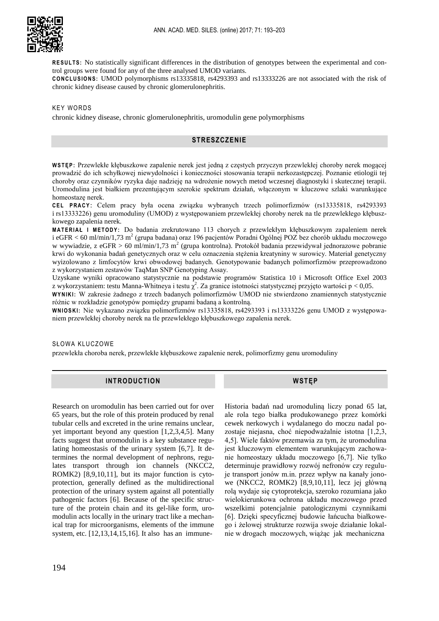

RESULTS: No statistically significant differences in the distribution of genotypes between the experimental and control groups were found for any of the three analysed UMOD variants.

**C O N C L U S I O N S :** UMOD polymorphisms rs13335818, rs4293393 and rs13333226 are not associated with the risk of chronic kidney disease caused by chronic glomerulonephritis.

#### **KEY WORDS**

chronic kidney disease, chronic glomerulonephritis, uromodulin gene polymorphisms

## **STRESZCZENIE**

**W S T Ę P :** Przewlekłe kłębuszkowe zapalenie nerek jest jedną z częstych przyczyn przewlekłej choroby nerek mogącej prowadzić do ich schyłkowej niewydolności i konieczności stosowania terapii nerkozastępczej. Poznanie etiologii tej choroby oraz czynników ryzyka daje nadzieję na wdrożenie nowych metod wczesnej diagnostyki i skutecznej terapii. Uromodulina jest białkiem prezentującym szerokie spektrum działań, włączonym w kluczowe szlaki warunkujące homeostazę nerek.

**C E L P RA C Y**: Celem pracy była ocena związku wybranych trzech polimorfizmów (rs13335818, rs4293393 i rs13333226) genu uromoduliny (UMOD) z występowaniem przewlekłej choroby nerek na tle przewlekłego kłębuszkowego zapalenia nerek.

**M A T E R I A Ł I M ET O D Y :** Do badania zrekrutowano 113 chorych z przewlekłym kłębuszkowym zapaleniem nerek i eGFR < 60 ml/min/1,73 m<sup>2</sup> (grupa badana) oraz 196 pacjentów Poradni Ogólnej POZ bez chorób układu moczowego w wywiadzie, z eGFR > 60 ml/min/1,73 m<sup>2</sup> (grupa kontrolna). Protokół badania przewidywał jednorazowe pobranie krwi do wykonania badań genetycznych oraz w celu oznaczenia stężenia kreatyniny w surowicy. Materiał genetyczny wyizolowano z limfocytów krwi obwodowej badanych. Genotypowanie badanych polimorfizmów przeprowadzono z wykorzystaniem zestawów TaqMan SNP Genotyping Assay.

Uzyskane wyniki opracowano statystycznie na podstawie programów Statistica 10 i Microsoft Office Exel 2003 z wykorzystaniem: testu Manna-Whitneya i testu  $\chi^2$ . Za granice istotności statystycznej przyjęto wartości p < 0,05.

**W Y N I K I :** W zakresie żadnego z trzech badanych polimorfizmów UMOD nie stwierdzono znamiennych statystycznie różnic w rozkładzie genotypów pomiędzy grupami badaną a kontrolną.

**W N I O S K I :** Nie wykazano związku polimorfizmów rs13335818, rs4293393 i rs13333226 genu UMOD z występowaniem przewlekłej choroby nerek na tle przewlekłego kłębuszkowego zapalenia nerek.

#### SŁOWA KLUCZOWE

przewlekła choroba nerek, przewlekłe kłębuszkowe zapalenie nerek, polimorfizmy genu uromoduliny

### **INTRODUCTION**

Research on uromodulin has been carried out for over 65 years, but the role of this protein produced by renal tubular cells and excreted in the urine remains unclear, yet important beyond any question [1,2,3,4,5]. Many facts suggest that uromodulin is a key substance regulating homeostasis of the urinary system [6,7]. It determines the normal development of nephrons, regulates transport through ion channels (NKCC2, ROMK2) [8,9,10,11], but its major function is cytoprotection, generally defined as the multidirectional protection of the urinary system against all potentially pathogenic factors [6]. Because of the specific structure of the protein chain and its gel-like form, uromodulin acts locally in the urinary tract like a mechanical trap for microorganisms, elements of the immune system, etc. [12,13,14,15,16]. It also has an immuneHistoria badań nad uromoduliną liczy ponad 65 lat, ale rola tego białka produkowanego przez komórki cewek nerkowych i wydalanego do moczu nadal pozostaje niejasna, choć niepodważalnie istotna [1,2,3, 4,5]. Wiele faktów przemawia za tym, że uromodulina jest kluczowym elementem warunkującym zachowanie homeostazy układu moczowego [6,7]. Nie tylko determinuje prawidłowy rozwój nefronów czy reguluje transport jonów m.in. przez wpływ na kanały jonowe (NKCC2, ROMK2) [8,9,10,11], lecz jej główną rolą wydaje się cytoprotekcja, szeroko rozumiana jako wielokierunkowa ochrona układu moczowego przed wszelkimi potencjalnie patologicznymi czynnikami [6]. Dzięki specyficznej budowie łańcucha białkowego i żelowej strukturze rozwija swoje działanie lokalnie w drogach moczowych, wiążąc jak mechaniczna

**WSTĘP**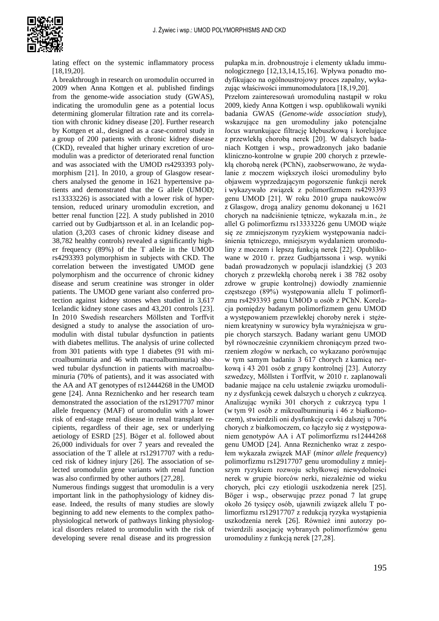

lating effect on the systemic inflammatory process [18,19,20].

A breakthrough in research on uromodulin occurred in 2009 when Anna Kottgen et al. published findings from the genome-wide association study (GWAS), indicating the uromodulin gene as a potential locus determining glomerular filtration rate and its correlation with chronic kidney disease [20]. Further research by Kottgen et al., designed as a case-control study in a group of 200 patients with chronic kidney disease (CKD), revealed that higher urinary excretion of uromodulin was a predictor of deteriorated renal function and was associated with the UMOD rs4293393 polymorphism [21]. In 2010, a group of Glasgow researchers analysed the genome in 1621 hypertensive patients and demonstrated that the G allele (UMOD; rs13333226) is associated with a lower risk of hypertension, reduced urinary uromodulin excretion, and better renal function [22]. A study published in 2010 carried out by Gudbjartsson et al. in an Icelandic population (3,203 cases of chronic kidney disease and 38,782 healthy controls) revealed a significantly higher frequency (89%) of the T allele in the UMOD rs4293393 polymorphism in subjects with CKD. The correlation between the investigated UMOD gene polymorphism and the occurrence of chronic kidney disease and serum creatinine was stronger in older patients. The UMOD gene variant also conferred protection against kidney stones when studied in 3,617 Icelandic kidney stone cases and 43,201 controls [23]. In 2010 Swedish researchers Möllsten and Torffvit designed a study to analyse the association of uromodulin with distal tubular dysfunction in patients with diabetes mellitus. The analysis of urine collected from 301 patients with type 1 diabetes (91 with microalbuminuria and 46 with macroalbuminuria) showed tubular dysfunction in patients with macroalbuminuria (70% of patients), and it was associated with the AA and AT genotypes of rs12444268 in the UMOD gene [24]. Anna Reznichenko and her research team demonstrated the association of the rs12917707 minor allele frequency (MAF) of uromodulin with a lower risk of end-stage renal disease in renal transplant recipients, regardless of their age, sex or underlying aetiology of ESRD [25]. Böger et al. followed about 26,000 individuals for over 7 years and revealed the association of the T allele at rs12917707 with a reduced risk of kidney injury [26]. The association of selected uromodulin gene variants with renal function was also confirmed by other authors [27,28].

Numerous findings suggest that uromodulin is a very important link in the pathophysiology of kidney disease. Indeed, the results of many studies are slowly beginning to add new elements to the complex pathophysiological network of pathways linking physiological disorders related to uromodulin with the risk of developing severe renal disease and its progression

pułapka m.in. drobnoustroje i elementy układu immunologicznego [12,13,14,15,16]. Wpływa ponadto modyfikująco na ogólnoustrojowy proces zapalny, wykazując właściwości immunomodulatora [18,19,20].

Przełom zainteresowań uromoduliną nastąpił w roku 2009, kiedy Anna Kottgen i wsp. opublikowali wyniki badania GWAS (*Genome-wide association study*), wskazujące na gen uromoduliny jako potencjalne *locus* warunkujące filtrację kłębuszkową i korelujące z przewlekłą chorobą nerek [20]. W dalszych badaniach Kottgen i wsp., prowadzonych jako badanie kliniczno-kontrolne w grupie 200 chorych z przewlekłą chorobą nerek (PChN), zaobserwowano, że wydalanie z moczem większych ilości uromoduliny było objawem wyprzedzającym pogorszenie funkcji nerek i wykazywało związek z polimorfizmem rs4293393 genu UMOD [21]. W roku 2010 grupa naukowców z Glasgow, drogą analizy genomu dokonanej u 1621 chorych na nadciśnienie tętnicze, wykazała m.in., że allel G polimorfizmu rs13333226 genu UMOD wiąże się ze zmniejszonym ryzykiem występowania nadciśnienia tętniczego, mniejszym wydalaniem uromoduliny z moczem i lepszą funkcją nerek [22]. Opublikowane w 2010 r. przez Gudbjartssona i wsp. wyniki badań prowadzonych w populacji islandzkiej (3 203 chorych z przewlekłą chorobą nerek i 38 782 osoby zdrowe w grupie kontrolnej) dowiodły znamiennie częstszego (89%) występowania allelu T polimorfizmu rs4293393 genu UMOD u osób z PChN. Korelacja pomiędzy badanym polimorfizmem genu UMOD a występowaniem przewlekłej choroby nerek i stężeniem kreatyniny w surowicy była wyraźniejsza w grupie chorych starszych. Badany wariant genu UMOD był równocześnie czynnikiem chroniącym przed tworzeniem złogów w nerkach, co wykazano porównując w tym samym badaniu 3 617 chorych z kamicą nerkową i 43 201 osób z grupy kontrolnej [23]. Autorzy szwedzcy, Möllsten i Torffvit, w 2010 r. zaplanowali badanie mające na celu ustalenie związku uromoduliny z dysfunkcją cewek dalszych u chorych z cukrzycą. Analizując wyniki 301 chorych z cukrzycą typu 1 (w tym 91 osób z mikroalbuminurią i 46 z białkomoczem), stwierdzili oni dysfunkcję cewki dalszej u 70% chorych z białkomoczem, co łączyło się z występowaniem genotypów AA i AT polimorfizmu rs12444268 genu UMOD [24]. Anna Reznichenko wraz z zespołem wykazała związek MAF (*minor allele frequency*) polimorfizmu rs12917707 genu uromoduliny z mniejszym ryzykiem rozwoju schyłkowej niewydolności nerek w grupie biorców nerki, niezależnie od wieku chorych, płci czy etiologii uszkodzenia nerek [25]. Böger i wsp., obserwując przez ponad 7 lat grupę około 26 tysięcy osób, ujawnili związek allelu T polimorfizmu rs12917707 z redukcją ryzyka wystąpienia uszkodzenia nerek [26]. Również inni autorzy potwierdzili asocjację wybranych polimorfizmów genu uromoduliny z funkcją nerek [27,28].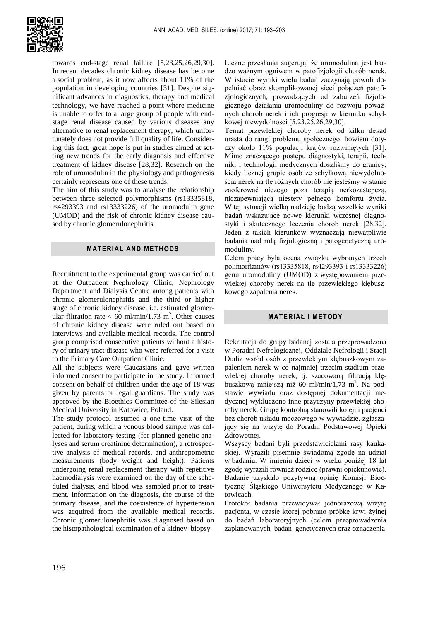

towards end-stage renal failure [5,23,25,26,29,30]. In recent decades chronic kidney disease has become a social problem, as it now affects about 11% of the population in developing countries [31]. Despite significant advances in diagnostics, therapy and medical technology, we have reached a point where medicine is unable to offer to a large group of people with endstage renal disease caused by various diseases any alternative to renal replacement therapy, which unfortunately does not provide full quality of life. Considering this fact, great hope is put in studies aimed at setting new trends for the early diagnosis and effective treatment of kidney disease [28,32]. Research on the role of uromodulin in the physiology and pathogenesis certainly represents one of these trends.

The aim of this study was to analyse the relationship between three selected polymorphisms (rs13335818, rs4293393 and rs13333226) of the uromodulin gene (UMOD) and the risk of chronic kidney disease caused by chronic glomerulonephritis.

#### **MATERIAL AND METHODS**

Recruitment to the experimental group was carried out at the Outpatient Nephrology Clinic, Nephrology Department and Dialysis Centre among patients with chronic glomerulonephritis and the third or higher stage of chronic kidney disease, i.e. estimated glomerular filtration rate  $< 60$  ml/min/1.73 m<sup>2</sup>. Other causes of chronic kidney disease were ruled out based on interviews and available medical records. The control group comprised consecutive patients without a history of urinary tract disease who were referred for a visit to the Primary Care Outpatient Clinic.

All the subjects were Caucasians and gave written informed consent to participate in the study. Informed consent on behalf of children under the age of 18 was given by parents or legal guardians. The study was approved by the Bioethics Committee of the Silesian Medical University in Katowice, Poland.

The study protocol assumed a one-time visit of the patient, during which a venous blood sample was collected for laboratory testing (for planned genetic analyses and serum creatinine determination), a retrospective analysis of medical records, and anthropometric measurements (body weight and height). Patients undergoing renal replacement therapy with repetitive haemodialysis were examined on the day of the scheduled dialysis, and blood was sampled prior to treatment. Information on the diagnosis, the course of the primary disease, and the coexistence of hypertension was acquired from the available medical records. Chronic glomerulonephritis was diagnosed based on the histopathological examination of a kidney biopsy

Liczne przesłanki sugerują, że uromodulina jest bardzo ważnym ogniwem w patofizjologii chorób nerek. W istocie wyniki wielu badań zaczynają powoli dopełniać obraz skomplikowanej sieci połączeń patofizjologicznych, prowadzących od zaburzeń fizjologicznego działania uromoduliny do rozwoju poważnych chorób nerek i ich progresji w kierunku schyłkowej niewydolności [5,23,25,26,29,30].

Temat przewlekłej choroby nerek od kilku dekad urasta do rangi problemu społecznego, bowiem dotyczy około 11% populacji krajów rozwiniętych [31]. Mimo znaczącego postępu diagnostyki, terapii, techniki i technologii medycznych doszliśmy do granicy, kiedy licznej grupie osób ze schyłkową niewydolnością nerek na tle różnych chorób nie jesteśmy w stanie zaoferować niczego poza terapią nerkozastepczą, niezapewniającą niestety pełnego komfortu życia. W tej sytuacji wielką nadzieję budzą wszelkie wyniki badań wskazujące no-we kierunki wczesnej diagnostyki i skutecznego leczenia chorób nerek [28,32]. Jeden z takich kierunków wyznaczają niewątpliwie badania nad rolą fizjologiczną i patogenetyczną uromoduliny.

Celem pracy była ocena związku wybranych trzech polimorfizmów (rs13335818, rs4293393 i rs13333226) genu uromoduliny (UMOD) z występowaniem przewlekłej choroby nerek na tle przewlekłego kłębuszkowego zapalenia nerek.

## **MATERIAŁ I METODY**

Rekrutacja do grupy badanej została przeprowadzona w Poradni Nefrologicznej, Oddziale Nefrologii i Stacji Dializ wśród osób z przewlekłym kłębuszkowym zapaleniem nerek w co najmniej trzecim stadium przewlekłej choroby nerek, tj. szacowaną filtracją kłębuszkową mniejszą niż 60 ml/min/1,73 m<sup>2</sup>. Na podstawie wywiadu oraz dostępnej dokumentacji medycznej wykluczono inne przyczyny przewlekłej choroby nerek. Grupę kontrolną stanowili kolejni pacjenci bez chorób układu moczowego w wywiadzie, zgłaszający się na wizytę do Poradni Podstawowej Opieki Zdrowotnej.

Wszyscy badani byli przedstawicielami rasy kaukaskiej. Wyrazili pisemnie świadomą zgodę na udział w badaniu. W imieniu dzieci w wieku poniżej 18 lat zgodę wyrazili również rodzice (prawni opiekunowie). Badanie uzyskało pozytywną opinię Komisji Bioetycznej Śląskiego Uniwersytetu Medycznego w Katowicach.

Protokół badania przewidywał jednorazową wizytę pacjenta, w czasie której pobrano próbkę krwi żylnej do badań laboratoryjnych (celem przeprowadzenia zaplanowanych badań genetycznych oraz oznaczenia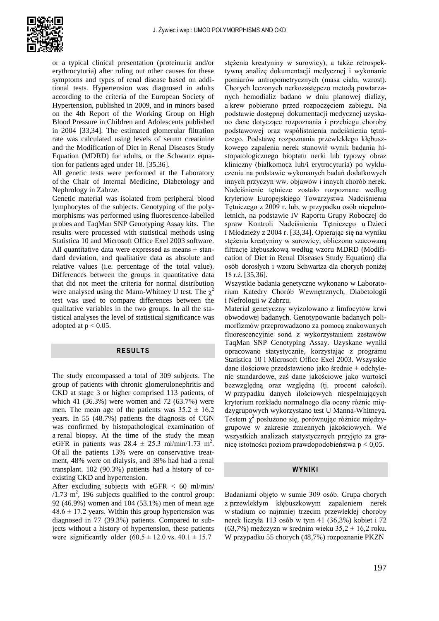

or a typical clinical presentation (proteinuria and/or erythrocyturia) after ruling out other causes for these symptoms and types of renal disease based on additional tests. Hypertension was diagnosed in adults according to the criteria of the European Society of Hypertension, published in 2009, and in minors based on the 4th Report of the Working Group on High Blood Pressure in Children and Adolescents published in 2004 [33,34]. The estimated glomerular filtration rate was calculated using levels of serum creatinine and the Modification of Diet in Renal Diseases Study Equation (MDRD) for adults, or the Schwartz equation for patients aged under 18. [35,36].

All genetic tests were performed at the Laboratory of the Chair of Internal Medicine, Diabetology and Nephrology in Zabrze.

Genetic material was isolated from peripheral blood lymphocytes of the subjects. Genotyping of the polymorphisms was performed using fluorescence-labelled probes and TaqMan SNP Genotyping Assay kits. The results were processed with statistical methods using Statistica 10 and Microsoft Office Exel 2003 software. All quantitative data were expressed as means  $\pm$  standard deviation, and qualitative data as absolute and relative values (i.e. percentage of the total value). Differences between the groups in quantitative data that did not meet the criteria for normal distribution were analysed using the Mann-Whitney U test. The  $\chi^2$ test was used to compare differences between the qualitative variables in the two groups. In all the statistical analyses the level of statistical significance was adopted at  $p < 0.05$ .

# **RESULTS**

The study encompassed a total of 309 subjects. The group of patients with chronic glomerulonephritis and CKD at stage 3 or higher comprised 113 patients, of which 41 (36.3%) were women and 72 (63.7%) were men. The mean age of the patients was  $35.2 \pm 16.2$ years. In 55 (48.7%) patients the diagnosis of CGN was confirmed by histopathological examination of a renal biopsy. At the time of the study the mean eGFR in patients was  $28.4 \pm 25.3$  ml/min/1.73 m<sup>2</sup>. Of all the patients 13% were on conservative treatment, 48% were on dialysis, and 39% had had a renal transplant. 102 (90.3%) patients had a history of coexisting CKD and hypertension.

After excluding subjects with  $eGFR < 60$  ml/min/  $/1.73$  m<sup>2</sup>, 196 subjects qualified to the control group: 92 (46.9%) women and 104 (53.1%) men of mean age  $48.6 \pm 17.2$  years. Within this group hypertension was diagnosed in 77 (39.3%) patients. Compared to subjects without a history of hypertension, these patients were significantly older  $(60.5 \pm 12.0 \text{ vs. } 40.1 \pm 15.7)$ 

stężenia kreatyniny w surowicy), a także retrospektywną analizę dokumentacji medycznej i wykonanie pomiarów antropometrycznych (masa ciała, wzrost). Chorych leczonych nerkozastępczo metodą powtarzanych hemodializ badano w dniu planowej dializy, a krew pobierano przed rozpoczęciem zabiegu. Na podstawie dostępnej dokumentacji medycznej uzyskano dane dotyczące rozpoznania i przebiegu choroby podstawowej oraz współistnienia nadciśnienia tętniczego. Podstawę rozpoznania przewlekłego kłębuszkowego zapalenia nerek stanowił wynik badania histopatologicznego bioptatu nerki lub typowy obraz kliniczny (białkomocz lub/i erytrocyturia) po wykluczeniu na podstawie wykonanych badań dodatkowych innych przyczyn ww. objawów i innych chorób nerek. Nadciśnienie tętnicze zostało rozpoznane według kryteriów Europejskiego Towarzystwa Nadciśnienia Tętniczego z 2009 r. lub, w przypadku osób niepełnoletnich, na podstawie IV Raportu Grupy Roboczej do spraw Kontroli Nadciśnienia Tętniczego u Dzieci i Młodzieży z 2004 r. [33,34]. Opierając się na wyniku stężenia kreatyniny w surowicy, obliczono szacowaną filtrację kłębuszkową według wzoru MDRD (Modification of Diet in Renal Diseases Study Equation) dla osób dorosłych i wzoru Schwartza dla chorych poniżej 18 r.ż. [35,36].

Wszystkie badania genetyczne wykonano w Laboratorium Katedry Chorób Wewnętrznych, Diabetologii i Nefrologii w Zabrzu.

Materiał genetyczny wyizolowano z limfocytów krwi obwodowej badanych. Genotypowanie badanych polimorfizmów przeprowadzono za pomocą znakowanych fluorescencyjnie sond z wykorzystaniem zestawów TaqMan SNP Genotyping Assay. Uzyskane wyniki opracowano statystycznie, korzystając z programu Statistica 10 i Microsoft Office Exel 2003. Wszystkie dane ilościowe przedstawiono jako średnie ± odchylenie standardowe, zaś dane jakościowe jako wartości bezwzględną oraz względną (tj. procent całości). W przypadku danych ilościowych niespełniających kryterium rozkładu normalnego dla oceny różnic międzygrupowych wykorzystano test U Manna-Whitneya. Testem  $\chi^2$  posłużono się, porównując różnice międzygrupowe w zakresie zmiennych jakościowych. We wszystkich analizach statystycznych przyjęto za granicę istotności poziom prawdopodobieństwa p < 0,05.

#### **WYNIKI**

Badaniami objęto w sumie 309 osób. Grupa chorych z przewlekłym kłębuszkowym zapaleniem nerek w stadium co najmniej trzecim przewlekłej choroby nerek liczyła 113 osób w tym 41 (36,3%) kobiet i 72 (63,7%) mężczyzn w średnim wieku  $35.2 \pm 16.2$  roku. W przypadku 55 chorych (48,7%) rozpoznanie PKZN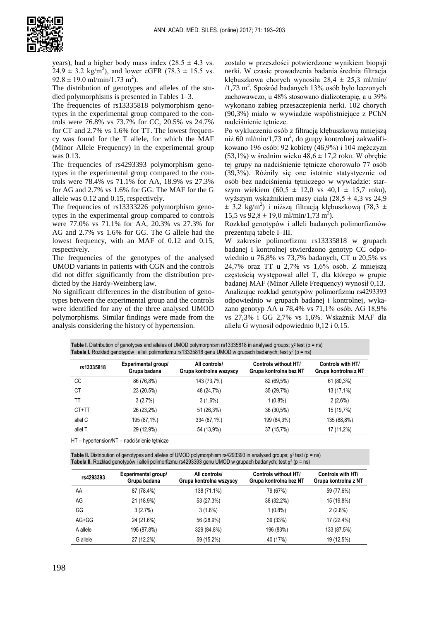

years), had a higher body mass index  $(28.5 \pm 4.3 \text{ vs.})$  $24.9 \pm 3.2$  kg/m<sup>2</sup>), and lower eGFR (78.3  $\pm$  15.5 vs.  $92.8 \pm 19.0 \text{ ml/min}/1.73 \text{ m}^2$ ).

The distribution of genotypes and alleles of the studied polymorphisms is presented in Tables 1–3.

The frequencies of rs13335818 polymorphism genotypes in the experimental group compared to the controls were 76.8% vs 73.7% for CC, 20.5% vs 24.7% for CT and 2.7% vs 1.6% for TT. The lowest frequency was found for the T allele, for which the MAF (Minor Allele Frequency) in the experimental group was 0.13.

The frequencies of rs4293393 polymorphism genotypes in the experimental group compared to the controls were 78.4% vs 71.1% for AA, 18.9% vs 27.3% for AG and 2.7% vs 1.6% for GG. The MAF for the G allele was 0.12 and 0.15, respectively.

The frequencies of rs13333226 polymorphism genotypes in the experimental group compared to controls were 77.0% vs 71.1% for AA, 20.3% vs 27.3% for AG and 2.7% vs 1.6% for GG. The G allele had the lowest frequency, with an MAF of 0.12 and 0.15, respectively.

The frequencies of the genotypes of the analysed UMOD variants in patients with CGN and the controls did not differ significantly from the distribution predicted by the Hardy-Weinberg law.

No significant differences in the distribution of genotypes between the experimental group and the controls were identified for any of the three analysed UMOD polymorphisms. Similar findings were made from the analysis considering the history of hypertension.

zostało w przeszłości potwierdzone wynikiem biopsji nerki. W czasie prowadzenia badania średnia filtracja kłębuszkowa chorych wynosiła  $28.4 \pm 25.3$  ml/min/ /1,73 m<sup>2</sup>. Spośród badanych 13% osób było leczonych zachowawczo, u 48% stosowano dializoterapię, a u 39% wykonano zabieg przeszczepienia nerki. 102 chorych (90,3%) miało w wywiadzie współistniejące z PChN nadciśnienie tętnicze.

Po wykluczeniu osób z filtracją kłębuszkową mniejszą niż 60 ml/min/1,73 m<sup>2</sup>, do grupy kontrolnej zakwalifikowano 196 osób: 92 kobiety (46,9%) i 104 mężczyzn (53,1%) w średnim wieku 48,6  $\pm$  17,2 roku. W obrębie tej grupy na nadciśnienie tętnicze chorowało 77 osób (39,3%). Różniły się one istotnie statystycznie od osób bez nadciśnienia tętniczego w wywiadzie: starszym wiekiem  $(60.5 \pm 12.0 \text{ vs } 40.1 \pm 15.7 \text{ roku})$ , wyższym wskaźnikiem masy ciała (28,5 ± 4,3 vs 24,9  $\pm$  3,2 kg/m<sup>2</sup>) i niższą filtracją kłębuszkową (78,3 ± 15,5 vs  $92,8 \pm 19,0 \text{ ml/min}/1,73 \text{ m}^2$ .

Rozkład genotypów i alleli badanych polimorfizmów prezentują tabele I–III.

W zakresie polimorfizmu rs13335818 w grupach badanej i kontrolnej stwierdzono genotyp CC odpowiednio u 76,8% vs 73,7% badanych, CT u 20,5% vs 24,7% oraz TT u 2,7% vs 1,6% osób. Z mniejszą częstością występował allel T, dla którego w grupie badanej MAF (Minor Allele Frequency) wynosił 0,13. Analizując rozkład genotypów polimorfizmu rs4293393 odpowiednio w grupach badanej i kontrolnej, wykazano genotyp AA u 78,4% vs 71,1% osób, AG 18,9% vs 27,3% i GG 2,7% vs 1,6%. Wskaźnik MAF dla allelu G wynosił odpowiednio 0,12 i 0,15.

| <b>Table I.</b> Distribution of genotypes and alleles of UMOD polymorphism rs13335818 in analysed groups; $\chi^2$ test (p = ns) |
|----------------------------------------------------------------------------------------------------------------------------------|
| Tabela I. Rozkład genotypów i alleli polimorfizmu rs13335818 genu UMOD w grupach badanych; test $\chi^2$ (p = ns)                |
|                                                                                                                                  |

| rs13335818 | Experimental group/<br>Grupa badana | All controls/<br>Grupa kontrolna wszyscy | Controls without HT/<br>Grupa kontrolna bez NT | Controls with HT/<br>Grupa kontrolna z NT |
|------------|-------------------------------------|------------------------------------------|------------------------------------------------|-------------------------------------------|
| CС         | 86 (76,8%)                          | 143 (73,7%)                              | 82 (69,5%)                                     | 61 (80,3%)                                |
| СT         | 23 (20,5%)                          | 48 (24,7%)                               | 35 (29,7%)                                     | 13 (17,1%)                                |
| TT         | 3(2,7%)                             | $3(1,6\%)$                               | $1(0,8\%)$                                     | 2(2,6%)                                   |
| CT+TT      | 26 (23,2%)                          | 51 (26,3%)                               | 36 (30,5%)                                     | 15 (19,7%)                                |
| allel C    | 195 (87,1%)                         | 334 (87,1%)                              | 199 (84,3%)                                    | 135 (88,8%)                               |
| allel T    | 29 (12,9%)                          | 54 (13,9%)                               | 37 (15,7%)                                     | 17 (11,2%)                                |

HT – hypertension/NT – nadciśnienie tętnicze

Table II. Distribution of genotypes and alleles of UMOD polymorphism rs4293393 in analysed groups; χ<sup>2</sup> test (p = ns) Tabela II. Rozkład genotypów i alleli polimorfizmu rs4293393 genu UMOD w grupach badanych; test χ<sup>2</sup> (p = ns)

| rs4293393 | Experimental group/<br>Grupa badana | All controls/<br>Grupa kontrolna wszyscy | <b>Controls without HT/</b><br>Grupa kontrolna bez NT | Controls with HT/<br>Grupa kontrolna z NT |
|-----------|-------------------------------------|------------------------------------------|-------------------------------------------------------|-------------------------------------------|
| AA        | 87 (78.4%)                          | 138 (71.1%)                              | 79 (67%)                                              | 59 (77.6%)                                |
| AG        | 21 (18.9%)                          | 53 (27.3%)                               | 38 (32.2%)                                            | 15 (19.8%)                                |
| GG        | 3(2.7%)                             | $3(1.6\%)$                               | $1(0.8\%)$                                            | $2(2.6\%)$                                |
| $AG+GG$   | 24 (21.6%)                          | 56 (28.9%)                               | 39 (33%)                                              | 17 (22.4%)                                |
| A allele  | 195 (87.8%)                         | 329 (84.8%)                              | 196 (83%)                                             | 133 (87.5%)                               |
| G allele  | 27 (12.2%)                          | 59 (15.2%)                               | 40 (17%)                                              | 19 (12.5%)                                |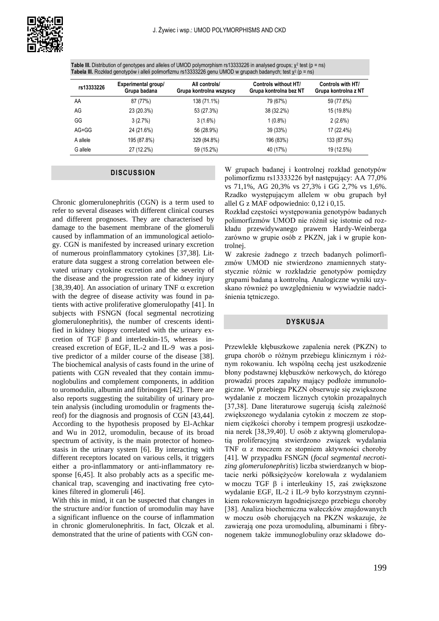

Table III. Distribution of genotypes and alleles of UMOD polymorphism rs13333226 in analysed groups; χ<sup>2</sup> test (p = ns) Tabela III. Rozkład genotypów i alleli polimorfizmu rs13333226 genu UMOD w grupach badanych; test χ<sup>2</sup> (p = ns)

| rs13333226 | Experimental group/<br>Grupa badana | All controls/<br>Grupa kontrolna wszyscy | <b>Controls without HT/</b><br>Grupa kontrolna bez NT | Controls with HT/<br>Grupa kontrolna z NT |
|------------|-------------------------------------|------------------------------------------|-------------------------------------------------------|-------------------------------------------|
| AA         | 87 (77%)                            | 138 (71.1%)                              | 79 (67%)                                              | 59 (77.6%)                                |
| AG         | 23 (20.3%)                          | 53 (27.3%)                               | 38 (32.2%)                                            | 15 (19.8%)                                |
| GG         | 3(2.7%)                             | $3(1.6\%)$                               | $1(0.8\%)$                                            | $2(2.6\%)$                                |
| AG+GG      | 24 (21.6%)                          | 56 (28.9%)                               | 39 (33%)                                              | 17 (22.4%)                                |
| A allele   | 195 (87.8%)                         | 329 (84.8%)                              | 196 (83%)                                             | 133 (87.5%)                               |
| G allele   | 27 (12.2%)                          | 59 (15.2%)                               | 40 (17%)                                              | 19 (12.5%)                                |

### **DISCUSSION**

Chronic glomerulonephritis (CGN) is a term used to refer to several diseases with different clinical courses and different prognoses. They are characterised by damage to the basement membrane of the glomeruli caused by inflammation of an immunological aetiology. CGN is manifested by increased urinary excretion of numerous proinflammatory cytokines [37,38]. Literature data suggest a strong correlation between elevated urinary cytokine excretion and the severity of the disease and the progression rate of kidney injury [38,39,40]. An association of urinary TNF  $\alpha$  excretion with the degree of disease activity was found in patients with active proliferative glomerulopathy [41]. In subjects with FSNGN (focal segmental necrotizing glomerulonephritis), the number of crescents identified in kidney biopsy correlated with the urinary excretion of TGF  $\beta$  and interleukin-15, whereas increased excretion of EGF, IL-2 and IL-9 was a positive predictor of a milder course of the disease [38]. The biochemical analysis of casts found in the urine of patients with CGN revealed that they contain immunoglobulins and complement components, in addition to uromodulin, albumin and fibrinogen [42]. There are also reports suggesting the suitability of urinary protein analysis (including uromodulin or fragments thereof) for the diagnosis and prognosis of CGN [43,44]. According to the hypothesis proposed by El-Achkar and Wu in 2012, uromodulin, because of its broad spectrum of activity, is the main protector of homeostasis in the urinary system [6]. By interacting with different receptors located on various cells, it triggers either a pro-inflammatory or anti-inflammatory response [6,45]. It also probably acts as a specific mechanical trap, scavenging and inactivating free cytokines filtered in glomeruli [46].

With this in mind, it can be suspected that changes in the structure and/or function of uromodulin may have a significant influence on the course of inflammation in chronic glomerulonephritis. In fact, Olczak et al. demonstrated that the urine of patients with CGN con-

W grupach badanej i kontrolnej rozkład genotypów polimorfizmu rs13333226 był następujący: AA 77,0% vs 71,1%, AG 20,3% vs 27,3% i GG 2,7% vs 1,6%. Rzadko występującym allelem w obu grupach był allel G z MAF odpowiednio: 0,12 i 0,15.

Rozkład częstości występowania genotypów badanych polimorfizmów UMOD nie różnił się istotnie od rozkładu przewidywanego prawem Hardy-Weinberga zarówno w grupie osób z PKZN, jak i w grupie kontrolnej.

W zakresie żadnego z trzech badanych polimorfizmów UMOD nie stwierdzono znamiennych statystycznie różnic w rozkładzie genotypów pomiędzy grupami badaną a kontrolną. Analogiczne wyniki uzyskano również po uwzględnieniu w wywiadzie nadciśnienia tętniczego.

### **DYSKUSJA**

Przewlekłe kłębuszkowe zapalenia nerek (PKZN) to grupa chorób o różnym przebiegu klinicznym i różnym rokowaniu. Ich wspólną cechą jest uszkodzenie błony podstawnej kłębuszków nerkowych, do którego prowadzi proces zapalny mający podłoże immunologiczne. W przebiegu PKZN obserwuje się zwiększone wydalanie z moczem licznych cytokin prozapalnych [37,38]. Dane literaturowe sugerują ścisłą zależność zwiększonego wydalania cytokin z moczem ze stopniem ciężkości choroby i tempem progresji uszkodzenia nerek [38,39,40]. U osób z aktywną glomerulopatią proliferacyjną stwierdzono związek wydalania TNF  $\alpha$  z moczem ze stopniem aktywności choroby [41]. W przypadku FSNGN (*focal segmental necrotizing glomerulonephritis*) liczba stwierdzanych w bioptacie nerki półksiężyców korelowała z wydalaniem w moczu TGF β i interleukiny 15, zaś zwiększone wydalanie EGF, IL-2 i IL-9 było korzystnym czynnikiem rokowniczym łagodniejszego przebiegu choroby [38]. Analiza biochemiczna wałeczków znajdowanych w moczu osób chorujących na PKZN wskazuje, że zawierają one poza uromoduliną, albuminami i fibrynogenem także immunoglobuliny oraz składowe do-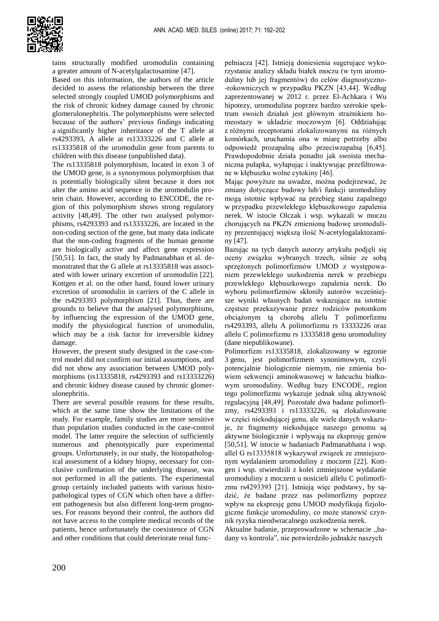

tains structurally modified uromodulin containing a greater amount of N-acetylgalactosamine [47].

Based on this information, the authors of the article decided to assess the relationship between the three selected strongly coupled UMOD polymorphisms and the risk of chronic kidney damage caused by chronic glomerulonephritis. The polymorphisms were selected because of the authors' previous findings indicating a significantly higher inheritance of the T allele at rs4293393, A allele at rs13333226 and C allele at rs13335818 of the uromodulin gene from parents to children with this disease (unpublished data).

The rs13335818 polymorphism, located in exon 3 of the UMOD gene, is a synonymous polymorphism that is potentially biologically silent because it does not alter the amino acid sequence in the uromodulin protein chain. However, according to ENCODE, the region of this polymorphism shows strong regulatory activity [48,49]. The other two analysed polymorphisms, rs4293393 and rs13333226, are located in the non-coding section of the gene, but many data indicate that the non-coding fragments of the human genome are biologically active and affect gene expression [50,51]. In fact, the study by Padmanabhan et al. demonstrated that the G allele at rs13335818 was associated with lower urinary excretion of uromodulin [22]. Kottgen et al. on the other hand, found lower urinary excretion of uromodulin in carriers of the C allele in the rs4293393 polymorphism [21]. Thus, there are grounds to believe that the analysed polymorphisms, by influencing the expression of the UMOD gene, modify the physiological function of uromodulin, which may be a risk factor for irreversible kidney damage.

However, the present study designed in the case-control model did not confirm our initial assumptions, and did not show any association between UMOD polymorphisms (rs13335818, rs4293393 and rs13333226) and chronic kidney disease caused by chronic glomerulonephritis.

There are several possible reasons for these results, which at the same time show the limitations of the study. For example, family studies are more sensitive than population studies conducted in the case-control model. The latter require the selection of sufficiently numerous and phenotypically pure experimental groups. Unfortunately, in our study, the histopathological assessment of a kidney biopsy, necessary for conclusive confirmation of the underlying disease, was not performed in all the patients. The experimental group certainly included patients with various histopathological types of CGN which often have a different pathogenesis but also different long-term prognoses. For reasons beyond their control, the authors did not have access to the complete medical records of the patients, hence unfortunately the coexistence of CGN and other conditions that could deteriorate renal func-

pełniacza [42]. Istnieją doniesienia sugerujące wykorzystanie analizy składu białek moczu (w tym uromoduliny lub jej fragmentów) do celów diagnostyczno- -rokowniczych w przypadku PKZN [43,44]. Według zaprezentowanej w 2012 r. przez El-Achkara i Wu hipotezy, uromodulina poprzez bardzo szerokie spektrum swoich działań jest głównym strażnikiem homeostazy w układzie moczowym [6]. Oddziałując z różnymi receptorami zlokalizowanymi na różnych komórkach, uruchamia ona w miarę potrzeby albo odpowiedź prozapalną albo przeciwzapalną [6,45]. Prawdopodobnie działa ponadto jak swoista mechaniczna pułapka, wyłapując i inaktywując przefiltrowane w kłębuszku wolne cytokiny [46].

Mając powyższe na uwadze, można podejrzewać, że zmiany dotyczące budowy lub/i funkcji uromoduliny mogą istotnie wpływać na przebieg stanu zapalnego w przypadku przewlekłego kłębuszkowego zapalenia nerek. W istocie Olczak i wsp. wykazali w moczu chorujących na PKZN zmienioną budowę uromoduliny prezentującej większą ilość N-acetylogalaktozaminy [47].

Bazując na tych danych autorzy artykułu podjęli się oceny związku wybranych trzech, silnie ze sobą sprzężonych polimorfizmów UMOD z występowaniem przewlekłego uszkodzenia nerek w przebiegu przewlekłego kłębuszkowego zapalenia nerek. Do wyboru polimorfizmów skłoniły autorów wcześniejsze wyniki własnych badań wskazujące na istotnie częstsze przekazywanie przez rodziców potomkom obciążonym tą chorobą allelu T polimorfizmu rs4293393, allelu A polimorfizmu rs 13333226 oraz allelu C polimorfizmu rs 13335818 genu uromoduliny (dane niepublikowane).

Polimorfizm rs13335818, zlokalizowany w egzonie 3 genu, jest polimorfizmem synonimowym, czyli potencjalnie biologicznie niemym, nie zmienia bowiem sekwencji aminokwasowej w łańcuchu białkowym uromoduliny. Według bazy ENCODE, region tego polimorfizmu wykazuje jednak silną aktywność regulacyjną [48,49]. Pozostałe dwa badane polimorfizmy, rs4293393 i rs13333226, są zlokalizowane w części niekodującej genu, ale wiele danych wskazuje, że fragmenty niekodujące naszego genomu są aktywne biologicznie i wpływają na ekspresję genów [50,51]. W istocie w badaniach Padmanabhana i wsp. allel G rs13335818 wykazywał związek ze zmniejszonym wydalaniem uromoduliny z moczem [22]. Kottgen i wsp. stwierdzili z kolei zmniejszone wydalanie uromoduliny z moczem u nosicieli allelu C polimorfizmu rs4293393 [21]. Istnieją więc podstawy, by sądzić, że badane przez nas polimorfizmy poprzez wpływ na ekspresję genu UMOD modyfikują fizjologiczne funkcje uromoduliny, co może stanowić czynnik ryzyka nieodwracalnego uszkodzenia nerek.

Aktualne badanie, przeprowadzone w schemacie "badany vs kontrola", nie potwierdziło jednakże naszych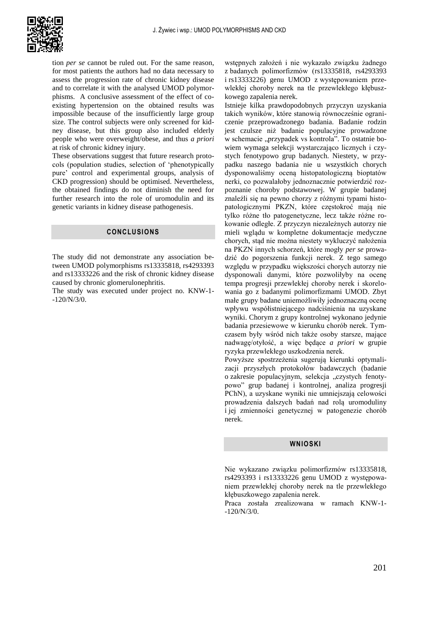

tion *per se* cannot be ruled out. For the same reason, for most patients the authors had no data necessary to assess the progression rate of chronic kidney disease and to correlate it with the analysed UMOD polymorphisms. A conclusive assessment of the effect of coexisting hypertension on the obtained results was impossible because of the insufficiently large group size. The control subjects were only screened for kidney disease, but this group also included elderly people who were overweight/obese, and thus *a priori* at risk of chronic kidney injury.

These observations suggest that future research protocols (population studies, selection of 'phenotypically pure' control and experimental groups, analysis of CKD progression) should be optimised. Nevertheless, the obtained findings do not diminish the need for further research into the role of uromodulin and its genetic variants in kidney disease pathogenesis.

## **CONCLUSIONS**

The study did not demonstrate any association between UMOD polymorphisms rs13335818, rs4293393 and rs13333226 and the risk of chronic kidney disease caused by chronic glomerulonephritis.

The study was executed under project no. KNW-1- -120/N/3/0.

wstępnych założeń i nie wykazało związku żadnego z badanych polimorfizmów (rs13335818, rs4293393 i rs13333226) genu UMOD z występowaniem przewlekłej choroby nerek na tle przewlekłego kłębuszkowego zapalenia nerek.

Istnieje kilka prawdopodobnych przyczyn uzyskania takich wyników, które stanowią równocześnie ograniczenie przeprowadzonego badania. Badanie rodzin jest czulsze niż badanie populacyjne prowadzone w schemacie "przypadek vs kontrola". To ostatnie bowiem wymaga selekcji wystarczająco licznych i czystych fenotypowo grup badanych. Niestety, w przypadku naszego badania nie u wszystkich chorych dysponowaliśmy oceną histopatologiczną bioptatów nerki, co pozwalałoby jednoznacznie potwierdzić rozpoznanie choroby podstawowej. W grupie badanej znaleźli się na pewno chorzy z różnymi typami histopatologicznymi PKZN, które częstokroć mają nie tylko różne tło patogenetyczne, lecz także różne rokowanie odległe. Z przyczyn niezależnych autorzy nie mieli wglądu w kompletne dokumentacje medyczne chorych, stąd nie można niestety wykluczyć nałożenia na PKZN innych schorzeń, które mogły *per se* prowadzić do pogorszenia funkcji nerek. Z tego samego względu w przypadku większości chorych autorzy nie dysponowali danymi, które pozwoliłyby na ocenę tempa progresji przewlekłej choroby nerek i skorelowania go z badanymi polimorfizmami UMOD. Zbyt małe grupy badane uniemożliwiły jednoznaczną ocenę wpływu współistniejącego nadciśnienia na uzyskane wyniki. Chorym z grupy kontrolnej wykonano jedynie badania przesiewowe w kierunku chorób nerek. Tymczasem były wśród nich także osoby starsze, mające nadwagę/otyłość, a więc będące *a priori* w grupie ryzyka przewlekłego uszkodzenia nerek.

Powyższe spostrzeżenia sugerują kierunki optymalizacji przyszłych protokołów badawczych (badanie o zakresie populacyjnym, selekcja "czystych fenotypowo" grup badanej i kontrolnej, analiza progresji PChN), a uzyskane wyniki nie umniejszają celowości prowadzenia dalszych badań nad rolą uromoduliny i jej zmienności genetycznej w patogenezie chorób nerek.

#### **WNIOSKI**

Nie wykazano związku polimorfizmów rs13335818, rs4293393 i rs13333226 genu UMOD z występowaniem przewlekłej choroby nerek na tle przewlekłego kłębuszkowego zapalenia nerek.

Praca została zrealizowana w ramach KNW-1- -120/N/3/0.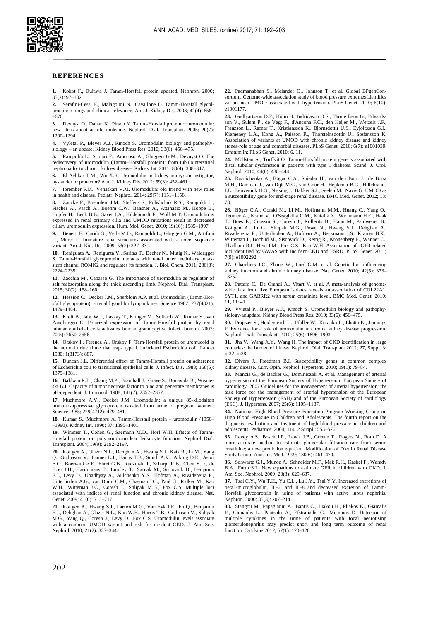

#### **REFERENCES**

**1.** Kokot F., Duława J. Tamm-Horsfall protein updated. Nephron. 2000; 85(2): 97–102.

**2.** Serafini-Cessi F., Malagolini N., Cavallone D. Tamm-Horsfall glycolprotein: biology and clinical relevance. Am. J. Kidney Dis. 2003; 42(4): 658– –676.

**3.** Devuyst O., Dahan K., Pirson Y. Tamm-Horsfall protein or uromodulin: new ideas about an old molecule. Nephrol. Dial. Transplant. 2005; 20(7): 1290–1294.

**4.** Vyletal P., Bleyer A.J., Kmoch S. Uromodulin biology and pathophysiology – an update. Kidney Blood Press Res. 2010; 33(6): 456–475.

**5.** Rampoldi L., Scolari F., Amoroso A., Ghiggeri G.M., Devuyst O. The rediscovery of uromodulin (Tamm–Horsfall protein): from tubulointerstitial nephropathy to chronic kidney disease. Kidney Int. 2011; 80(4): 338–347.

**6.** El-Achkar T.M., Wu X.R. Uromodulin in kidney injury: an instigator, bystander or protector? Am. J. Kidney Dis. 2012; 59(3): 452–461.

**7.** Iorember F.M., Vehaskari V.M. Uromodulin: old friend with new roles in health and disease. Pediatr. Nephrol. 2014; 29(7): 1151–1158.

**8.** Zaucke F., Boehnlein J.M., Steffens S., Polishchuk R.S., Rampoldi L., Fischer A., Pasch A., Boehm C.W., Baasner A., Attanasio M., Hoppe B., Hopfer H., Beck B.B., Sayer J.A., Hildebrandt F., Wolf M.T. Uromodulin is expressed in renal primary cilia and UMOD mutations result in decreased ciliary uromodulin expression. Hum. Mol. Genet. 2010; 19(10): 1985–1997.

**9.** Benetti E., Caridi G., Vella M.D., Rampoldi L., Ghiggeri G.M., Artifoni L., Murer L. Immature renal structures associated with a novel sequence variant. Am. J. Kid. Dis. 2009; 53(2): 327–331.

**10.** Renigunta A., Renigunta V., Saritas T., Decher N., Mutig K., Waldegger S. Tamm-Horsfall glycoprotein interacts with renal outer medullary potassium channel ROMK2 and regulates its function. J. Biol. Chem. 2011; 286(3): 2224–2235.

**11.** Zacchia M., Capasso G. The importance of uromodulin as regulator of salt reabsorption along the thick ascending limb. Nephrol. Dial. Transplant. 2015; 30(2): 158–160.

**12.** Hession C., Decker J.M., Sherblom A.P. et al. Uromodulin (Tamm-Horsfall glycoprotein): a renal ligand for lymphokines. Science 1987; 237(4821): 1479–1484.

**13.** Kreft B., Jabs W.J., Laskay T., Klinger M., Solbach W., Kumar S., van Zandbergen G. Polarized expression of Tamm-Horsfall protein by renal tubular epithelial cells activates human granulocytes. Infect. Immun. 2002; 70(5): 2650–2656.

**14.** Orskov I., Ferencz A., Orskov F. Tam-Horsfall protein or uromucoid is the normal urine slime that traps type I fimbriated Escherichia coli. Lancet 1980; 1(8173): 887.

**15.** Duncan J.L. Differential effect of Tamm-Horsfall protein on adherence of Escherichia coli to transitional epithelial cells. J. Infect. Dis. 1988; 158(6): 1379–1381.

**16.** Baldwin R.L., Chang M.P., Bramhall J., Grave S., Bonavida B., Wisnieski B.J. Capacity of tumor necrosis factor to bind and penetrate membranes is pH-dependent. J. Immunol. 1988; 141(7): 2352–2357.

**17.** Muchmore A.V., Decker J.M. Uromodulin: a unique 85-kilodalton immunosuppressive glycoprotein isolated from urine of pregnant women. Science 1985; 229(4712): 479–481.

**18.** Kumar S., Muchmore A. Tamm-Horsfall protein – uromodulin (1950– –1990). Kidney Int. 1990; 37: 1395–1401.

**19.** Wimmer T., Cohen G., Säemann M.D., Hörl W.H. Effects of Tamm-Horsfall protein on polymorphonuclear leukocyte function. Nephrol Dial. Transplant. 2004; 19(9): 2192–2197.

**20.** Köttgen A., Glazer N.L., Dehghan A., Hwang S.J., Katz R., Li M., Yang Q., Gudnason V., Launer L.J., Harris T.B., Smith A.V., Arking D.E., Astor B.C., Boerwinkle E., Ehret G.B., Ruczinski I., Scharpf R.B., Chen Y.D., de Boer I.H., Haritunians T., Lumley T., Sarnak M., Siscovick D., Benjamin E.J., Levy D., Upadhyay A., Aulchenko Y.S., Hofman A., Rivadeneira F., Uitterlinden A.G., van Duijn C.M., Chasman D.I., Paré G., Ridker M., Kao W.H., Witteman J.C., Coresh J., Shlipak M.G., Fox C.S. Multiple loci associated with indices of renal function and chronic kidney disease. Nat. Genet. 2009; 41(6): 712-717.

**21.** Köttgen A., Hwang S.J., Larson M.G., Van Eyk J.E., Fu Q., Benjamin E.J., Dehghan A., Glazer N.L., Kao W.H., Harris T.B., Gudnason V., Shlipak M.G., Yang Q., Coresh J., Levy D., Fox C.S. Uromodulin levels associate with a common UMOD variant and risk for incident CKD. J. Am. Soc. Nephrol. 2010; 21(2): 337–344.

**22.** Padmanabhan S., Melander O., Johnson T. et al. Global BPgenConsortium, Genome-wide association study of blood pressure extremes identifies variant near UMOD associated with hypertension. PLoS Genet. 2010; 6(10): e1001177.

**23.** Gudbjartsson D.F., Holm H., Indridason O.S., Thorleifsson G., Edvardsson V., Sulem P., de Vegt F., d'Ancona F.C., den Heijer M., Wetzels J.F., Franzson L., Rafnar T., Kristjansson K., Bjornsdottir U.S., Eyjolfsson G.I., Kiemeney L.A., Kong A., Palsson R., Thorsteinsdottir U., Stefansson K. Association of variants at UMOD with chronic kidney disease and kidney stones-role of age and comorbid diseases. PLoS Genet. 2010; 6(7): e1001039. Erratum in: PLoS Genet. 2010; 6, 11.

**24.** Möllsten A., Torffvit O. Tamm-Horsfall protein gene is associated with distal tubular dysfunction in patients with type 1 diabetes. Scand. J. Urol. Nephrol. 2010; 44(6): 438–444.

**25.** Reznichenko A., Böger C.A., Snieder H., van den Born J., de Borst M.H., Damman J., van Dijk M.C., van Goor H., Hepkema B.G., Hillebrands J.L., Leuvenink H.G., Niesing J., Bakker S.J., Seelen M., Navis G. UMOD as a susceptibility gene for end-stage renal disease. BMC Med. Genet. 2012; 13: 78.

**26.** Böger C.A., Gorski M., Li M., Hoffmann M.M., Huang C., Yang Q., Teumer A., Krane V., O'Seaghdha C.M., Kutalik Z., Wichmann H.E., Haak T., Boes E., Coassin S., Coresh J., Kollerits B., Haun M., Paulweber B., Köttgen A., Li G., Shlipak M.G., Powe N., Hwang S.J., Dehghan A., Rivadeneira F., Uitterlinden A., Hofman A., Beckmann J.S., Krämer B.K., Witteman J., Bochud M., Siscovick D., Rettig R., Kronenberg F., Wanner C., Thadhani R.I., Heid I.M., Fox C.S., Kao W.H. Association of eGFR-related loci identified by GWAS with incident CKD and ESRD. PLoS Genet. 2011; 7(9): e1002292.

**27.** Chambers J.C., Zhang W., Lord G.M. et al. Genetic loci influencing kidney function and chronic kidney disease. Nat. Genet. 2010; 42(5): 373– –375.

**28.** Pattaro C., De Grandi A., Vitart V. et al. A meta-analysis of genomewide data from five European isolates reveals an association of COL22A1, SYT1, and GABRR2 with serum creatinine level. BMC Med. Genet. 2010; 11, 11: 41.

**29.** Vyletal P., Bleyer A.J., Kmoch S. Uromodulin biology and pathophysiology-anupdate. Kidney Blood Press Res. 2010; 33(6): 456–475.

**30.** Prajczer S., Heidenreich U., Pfaller W., Kotanko P., Lhotta K., Jennings P. Evidence for a role of uromodulin in chronic kidney disease progression. Nephrol. Dial. Transplant. 2010; 25(6): 1896–1903.

**31.** Jha V., Wang A.Y., Wang H. The impact of CKD identification in large countries: the burden of illness. Nephrol. Dial. Transplant 2012; 27, Suppl. 3: iii32–iii38

**32.** Divers J., Freedman B.I. Susceptibility genes in common complex kidney disease. Curr. Opin. Nephrol. Hypertens. 2010; 19(1): 79–84.

**33.** Mancia G., de Backer G., Dominiczak A. et al. Management of arterial hypertension of the European Society of Hypertension; European Society of cardiology. 2007 Guidelines for the management of arterial hypertension; the task force for the management of arterial hypertension of the European Society of Hypertension (ESH) and of the European Society of cardiology (ESC). J. Hypertens. 2007; 25(6): 1105–1187.

**34.** National High Blood Pressure Education Program Working Group on High Blood Pressure in Children and Adolescents. The fourth report on the diagnosis, evaluation and treatment of high blood pressure in children and adolescents. Pediatrics. 2004; 114, 2 Suppl.: 555–576.

**35.** Levey A.S., Bosch J.P., Lewis J.B., Greene T., Rogers N., Roth D. A more accurate method to estimate glomerular filtration rate from serum creatinine; a new prediction equation. Modification of Diet in Renal Disease Study Group. Ann. Int. Med. 1999; 130(6): 461–470.

**36.** Schwartz G.J., Munoz A., Schneider M.F., Mak R.H., Kaskel F., Warady B.A., Furth S.L. New equations to estimate GFR in children with CKD. J. Am. Soc. Nephrol. 2009; 20(3): 629–637.

**37.** Tsai C.Y., Wu T.H., Yu C.L., Lu J.Y., Tsai Y.Y. Increased excretions of beta2-microglobulin, IL-6, and IL-8 and decreased excretion of Tamm-Horsfall glycoprotein in urine of patients with active lupus nephritis. Nephron. 2000; 85(3): 207–214.

**38.** Stangou M., Papagianni A., Bantis C., Liakou H., Pliakos K., Giamalis P., Gionanlis L., Pantzaki A., Efstratiadis G., Memmos D. Detection of multiple cytokines in the urine of patients with focal necrotising glomerulonephritis may predict short and long term outcome of renal function. Cytokine 2012; 57(1): 120–126.